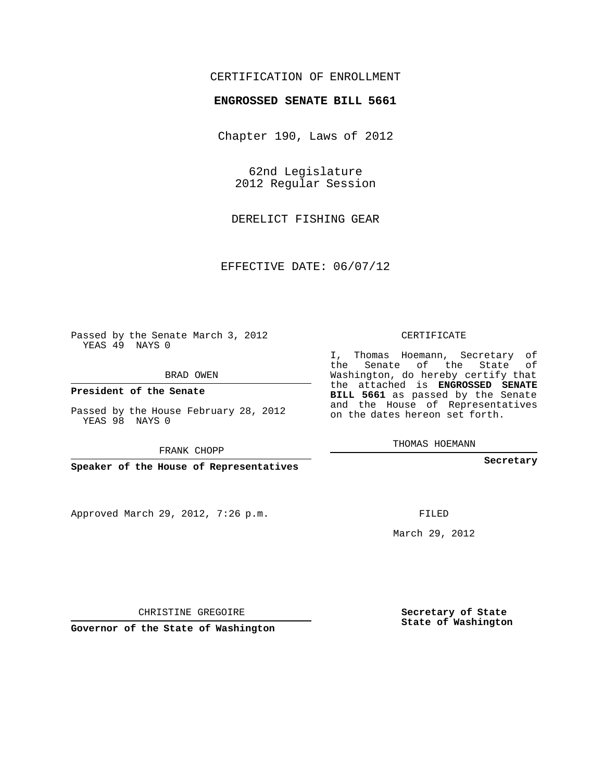## CERTIFICATION OF ENROLLMENT

## **ENGROSSED SENATE BILL 5661**

Chapter 190, Laws of 2012

62nd Legislature 2012 Regular Session

DERELICT FISHING GEAR

EFFECTIVE DATE: 06/07/12

Passed by the Senate March 3, 2012 YEAS 49 NAYS 0

BRAD OWEN

**President of the Senate**

Passed by the House February 28, 2012 YEAS 98 NAYS 0

FRANK CHOPP

**Speaker of the House of Representatives**

Approved March 29, 2012, 7:26 p.m.

CERTIFICATE

I, Thomas Hoemann, Secretary of the Senate of the State of Washington, do hereby certify that the attached is **ENGROSSED SENATE BILL 5661** as passed by the Senate and the House of Representatives on the dates hereon set forth.

THOMAS HOEMANN

**Secretary**

FILED

March 29, 2012

**Secretary of State State of Washington**

CHRISTINE GREGOIRE

**Governor of the State of Washington**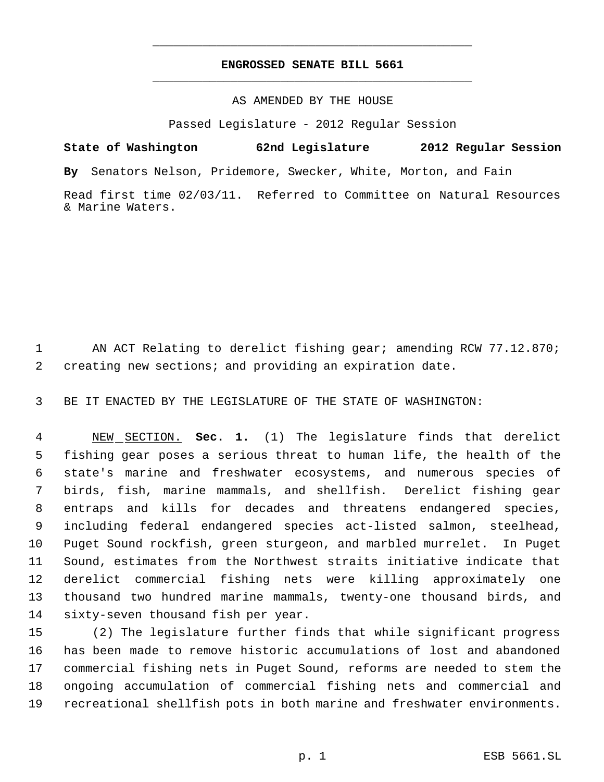## **ENGROSSED SENATE BILL 5661** \_\_\_\_\_\_\_\_\_\_\_\_\_\_\_\_\_\_\_\_\_\_\_\_\_\_\_\_\_\_\_\_\_\_\_\_\_\_\_\_\_\_\_\_\_

\_\_\_\_\_\_\_\_\_\_\_\_\_\_\_\_\_\_\_\_\_\_\_\_\_\_\_\_\_\_\_\_\_\_\_\_\_\_\_\_\_\_\_\_\_

## AS AMENDED BY THE HOUSE

Passed Legislature - 2012 Regular Session

**State of Washington 62nd Legislature 2012 Regular Session By** Senators Nelson, Pridemore, Swecker, White, Morton, and Fain Read first time 02/03/11. Referred to Committee on Natural Resources & Marine Waters.

1 AN ACT Relating to derelict fishing gear; amending RCW 77.12.870; creating new sections; and providing an expiration date.

BE IT ENACTED BY THE LEGISLATURE OF THE STATE OF WASHINGTON:

 NEW SECTION. **Sec. 1.** (1) The legislature finds that derelict fishing gear poses a serious threat to human life, the health of the state's marine and freshwater ecosystems, and numerous species of birds, fish, marine mammals, and shellfish. Derelict fishing gear entraps and kills for decades and threatens endangered species, including federal endangered species act-listed salmon, steelhead, Puget Sound rockfish, green sturgeon, and marbled murrelet. In Puget Sound, estimates from the Northwest straits initiative indicate that derelict commercial fishing nets were killing approximately one thousand two hundred marine mammals, twenty-one thousand birds, and sixty-seven thousand fish per year.

 (2) The legislature further finds that while significant progress has been made to remove historic accumulations of lost and abandoned commercial fishing nets in Puget Sound, reforms are needed to stem the ongoing accumulation of commercial fishing nets and commercial and recreational shellfish pots in both marine and freshwater environments.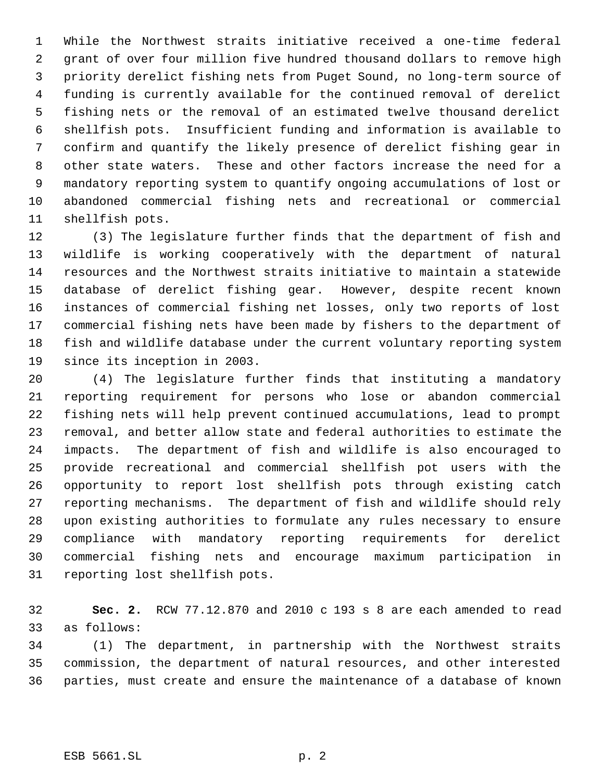While the Northwest straits initiative received a one-time federal grant of over four million five hundred thousand dollars to remove high priority derelict fishing nets from Puget Sound, no long-term source of funding is currently available for the continued removal of derelict fishing nets or the removal of an estimated twelve thousand derelict shellfish pots. Insufficient funding and information is available to confirm and quantify the likely presence of derelict fishing gear in other state waters. These and other factors increase the need for a mandatory reporting system to quantify ongoing accumulations of lost or abandoned commercial fishing nets and recreational or commercial shellfish pots.

 (3) The legislature further finds that the department of fish and wildlife is working cooperatively with the department of natural resources and the Northwest straits initiative to maintain a statewide database of derelict fishing gear. However, despite recent known instances of commercial fishing net losses, only two reports of lost commercial fishing nets have been made by fishers to the department of fish and wildlife database under the current voluntary reporting system since its inception in 2003.

 (4) The legislature further finds that instituting a mandatory reporting requirement for persons who lose or abandon commercial fishing nets will help prevent continued accumulations, lead to prompt removal, and better allow state and federal authorities to estimate the impacts. The department of fish and wildlife is also encouraged to provide recreational and commercial shellfish pot users with the opportunity to report lost shellfish pots through existing catch reporting mechanisms. The department of fish and wildlife should rely upon existing authorities to formulate any rules necessary to ensure compliance with mandatory reporting requirements for derelict commercial fishing nets and encourage maximum participation in reporting lost shellfish pots.

 **Sec. 2.** RCW 77.12.870 and 2010 c 193 s 8 are each amended to read as follows:

 (1) The department, in partnership with the Northwest straits commission, the department of natural resources, and other interested parties, must create and ensure the maintenance of a database of known